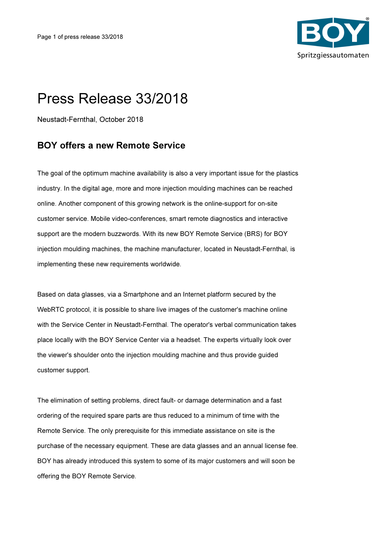

## Press Release 33/2018

Neustadt-Fernthal, October 2018

## BOY offers a new Remote Service

The goal of the optimum machine availability is also a very important issue for the plastics industry. In the digital age, more and more injection moulding machines can be reached online. Another component of this growing network is the online-support for on-site customer service. Mobile video-conferences, smart remote diagnostics and interactive support are the modern buzzwords. With its new BOY Remote Service (BRS) for BOY injection moulding machines, the machine manufacturer, located in Neustadt-Fernthal, is implementing these new requirements worldwide.

Based on data glasses, via a Smartphone and an Internet platform secured by the WebRTC protocol, it is possible to share live images of the customer's machine online with the Service Center in Neustadt-Fernthal. The operator's verbal communication takes place locally with the BOY Service Center via a headset. The experts virtually look over the viewer's shoulder onto the injection moulding machine and thus provide guided customer support.

The elimination of setting problems, direct fault- or damage determination and a fast ordering of the required spare parts are thus reduced to a minimum of time with the Remote Service. The only prerequisite for this immediate assistance on site is the purchase of the necessary equipment. These are data glasses and an annual license fee. BOY has already introduced this system to some of its major customers and will soon be offering the BOY Remote Service.